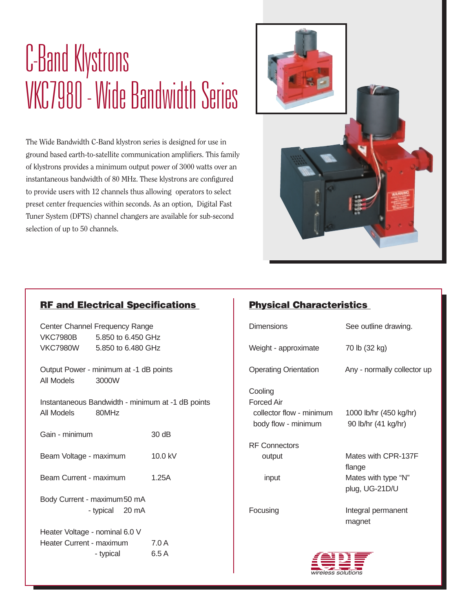## C-Band Klystrons VKC7980 - Wide Bandwidth Series

The Wide Bandwidth C-Band klystron series is designed for use in ground based earth-to-satellite communication amplifiers. This family of klystrons provides a minimum output power of 3000 watts over an instantaneous bandwidth of 80 MHz. These klystrons are configured to provide users with 12 channels thus allowing operators to select preset center frequencies within seconds. As an option, Digital Fast Tuner System (DFTS) channel changers are available for sub-second selection of up to 50 channels.



#### **RF and Electrical Specifications**

Center Channel Frequency Range VKC7980B 5.850 to 6.450 GHz VKC7980W 5.850 to 6.480 GHz

Output Power - minimum at -1 dB points All Models 3000W

Instantaneous Bandwidth - minimum at -1 dB points All Models 80MHz

Gain - minimum 30 dB

Beam Voltage - maximum 10.0 kV

Beam Current - maximum 1.25A

Body Current - maximum50 mA - typical 20 mA

Heater Voltage - nominal 6.0 V Heater Current - maximum 7.0 A - typical 6.5 A

### **Physical Characteristics**

| <b>Dimensions</b>                                                               | See outline drawing.                                                   |  |  |  |  |
|---------------------------------------------------------------------------------|------------------------------------------------------------------------|--|--|--|--|
| Weight - approximate                                                            | 70 lb (32 kg)                                                          |  |  |  |  |
| <b>Operating Orientation</b>                                                    | Any - normally collector up                                            |  |  |  |  |
| Cooling<br><b>Forced Air</b><br>collector flow - minimum<br>body flow - minimum | 1000 lb/hr (450 kg/hr)<br>90 lb/hr (41 kg/hr)                          |  |  |  |  |
| <b>RF Connectors</b><br>output<br>input                                         | Mates with CPR-137F<br>flange<br>Mates with type "N"<br>plug, UG-21D/U |  |  |  |  |
| Focusing                                                                        | Integral permanent<br>magnet                                           |  |  |  |  |
| a b}∈                                                                           |                                                                        |  |  |  |  |